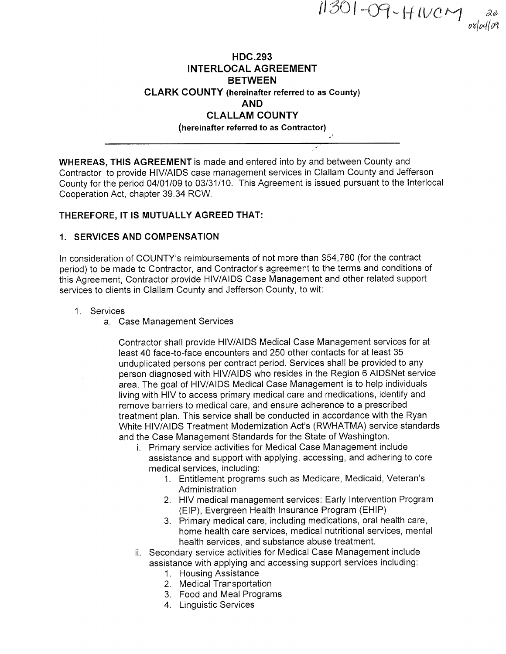$11301 - O9$  - H  $100$  M ae 1 ae<br>1 orlodlog

## HDC.293 INTERLOCAL AGREEMENT **BETWEEN** CLARK COUNTY (hereinafter referred to as Gounty) AND CLALLAM COUNTY (hereinafter referred to as Contractor) ,

WHEREAS, THIS AGREEMENT is made and entered into by and between County and Contractor to provide HIV/AIDS case management services in Clallam County and Jefferson County for the period 04101109 to 03/31/10. This Agreement is issued pursuant to the lnterlocal Cooperation Act, chapter 39.34 RCW.

### THEREFORE, IT IS MUTUALLY AGREED THAT:

### 1. SERVICES AND COMPENSATION

ln consideration of COUNTY's reimbursements of not more than \$54,780 (for the contract period) to be made to Contractor, and Contractor's agreement to the terms and conditions of this Agreement, Contractor provide HIV/AIDS Case Management and other related support services to clients in Clallam County and Jefferson County, to wit:

#### 1. Services

a. Case Management Services

Contractor shall provide HIV/AIDS Medical Case Management services for at least 40 face-to-face encounters and 250 other contacts for at least 35 unduplicated persons per contract period. Services shall be provided to any person diagnosed with HIV/AIDS who resides in the Region 6 AlDSNet service area. The goal of HIV/AIDS Medical Case Management is to help individuals living with HIV to access primary medical care and medications, identify and remove barriers to medical care, and ensure adherence to a prescribed treatment plan. This service shall be conducted in accordance with the Ryan White HIV/AIDS Treatment Modernization Act's (RWHATMA) service standards and the Case Management Standards for the State of Washington.

- i. Primary service activities for Medical Case Management include assistance and support with applying, accessing, and adhering to core medical services, including:
	- 1. Entitlement programs such as Medicare, Medicaid, Veteran's Administration
	- 2. HIV medical management services: Early lntervention Program (ElP), Evergreen Health lnsurance Program (EHIP)
	- 3. Primary medical care, including medications, oral health care, home health care services, medical nutritional services, mental health services, and substance abuse treatment.
- ii. Secondary service activities for Medical Case Management include assistance with applying and accessing support services including:
	- 1. Housing Assistance
	- 2. Medical Transportation
	- 3. Food and Meal Programs
	- 4. Linguistic Services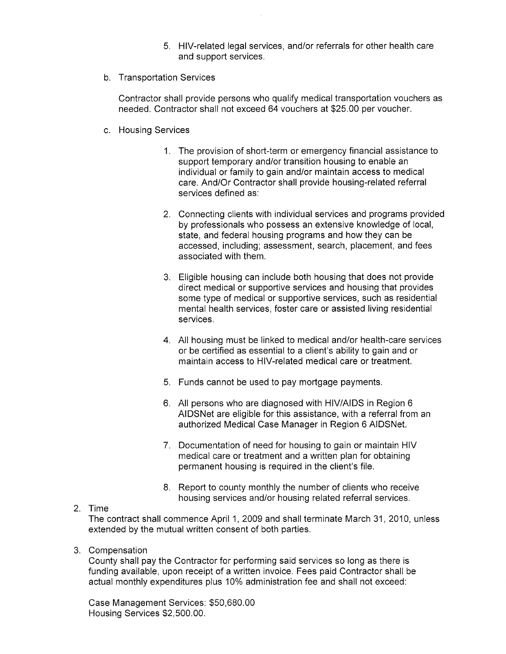- 5. HlV-related legal services, and/or referrals for other health care and support services.
- b. Transportation Services

Contractor shall provide persons who qualify medical transportation vouchers as needed. Contractor shall not exceed 64 vouchers at \$25.00 per voucher.

- c. Housing Services
	- 1. The provision of short-term or emergency financial assistance to support temporary and/or transition housing to enable an individual or family to gain and/or maintain access to medical care. And/Or Contractor shall provide housing-related referral services defined as:
	- 2. Connecting clients with individual services and programs provided by professionals who possess an extensive knowledge of local, state, and federal housing programs and how they can be accessed, including; assessment, search, placement, and fees associated with them.
	- 3. Eligible housing can include both housing that does not provide direct medical or supportive services and housing that provides some type of medical or supportive services, such as residential mental health services, foster care or assisted living residential services.
	- 4. All housing must be linked to medical and/or health-care services or be certified as essential to a client's ability to gain and or maintain access to H|V-related medical care or treatment.
	- 5. Funds cannot be used to pay mortgage payments.
	- 6. All persons who are diagnosed with HIV/AIDS in Region <sup>6</sup> AlDSNet are eligible for this assistance, with a referral from an authorized Medical Case Manager in Region 6 AlDSNet.
	- 7. Documentation of need for housing to gain or maintain HIV medical care or treatment and a written plan for obtaining permanent housing is required in the client's file.
	- 8. Report to county monthly the number of clients who receive housing services and/or housing related referral services.
- 2. Time

The contract shall commence April 1, 2009 and shall terminate March 31,2010, unless extended by the mutual written consent of both parties.

3. Compensation

County shall pay the Contractor for performing said services so long as there is funding available, upon receipt of a written invoice. Fees paid Contractor shall be actual monthly expenditures plus 10% administration fee and shall not exceed:

Case Management Services: \$50,680.00 Housing Services \$2,500.00.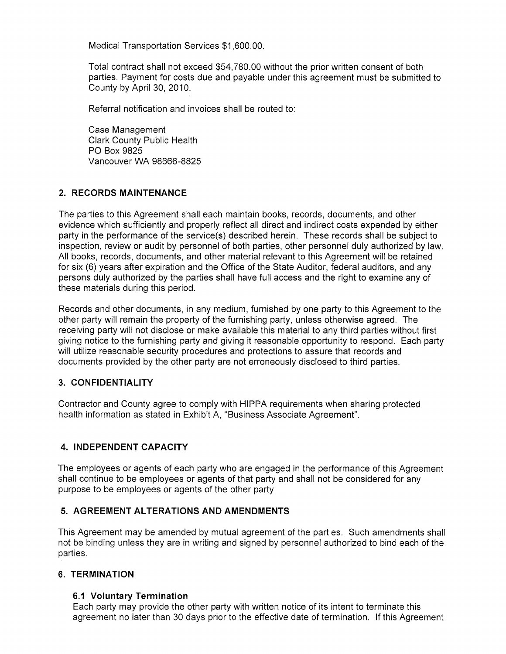Medical Transportation Services \$1,600.00.

Total contract shall not exceed \$54,780.00 without the prior written consent of both parties. Payment for costs due and payable under this agreement must be submitted to County by April 30, 2010.

Referral notification and invoices shall be routed to:

Case Management Clark County Public Health PO Box 9825 Vancouver WA 98666-8825

## 2. RECORDS MAINTENANCE

The parties to this Agreement shall each maintain books, records, documents, and other evidence which sufficiently and properly reflect all direct and indirect costs expended by either party in the performance of the service(s) described herein. These records shall be subject to inspection, review or audit by personnel of both parties, other personnel duly authorized by law. All books, records, documents, and other material relevant to this Agreement will be retained for six (6) years after expiration and the Office of the State Auditor, federal auditors, and any persons duly authorized by the parties shall have full access and the right to examine any of these materials during this period.

Records and other documents, in any medium, furnished by one party to this Agreement to the other party will remain the property of the furnishing party, unless otherwise agreed. The receiving party will not disclose or make available this material to any third parties without first giving notice to the furnishing party and giving it reasonable opportunity to respond. Each party will utilize reasonable security procedures and protections to assure that records and documents provided by the other party are not erroneously disclosed to third parties.

## 3. CONFIDENTIALITY

Contractor and County agree to comply with HIPPA requirements when sharing protected health information as stated in Exhibit A, "Business Associate Agreement".

## 4. INDEPENDENT CAPACITY

The employees or agents of each party who are engaged in the performance of this Agreement shall continue to be employees or agents of that party and shall not be considered for any purpose to be employees or agents of the other party.

## 5. AGREEMENT ALTERATIONS AND AMENDMENTS

This Agreement may be amended by mutual agreement of the parties. Such amendments shall not be binding unless they are in writing and signed by personnel authorized to bind each of the parties.

## 6. TERMINATION

## 6.1 Voluntary Termination

Each party may provide the other party with written notice of its intent to terminate this agreement no later than 30 days prior to the effective date of termination. lf this Agreement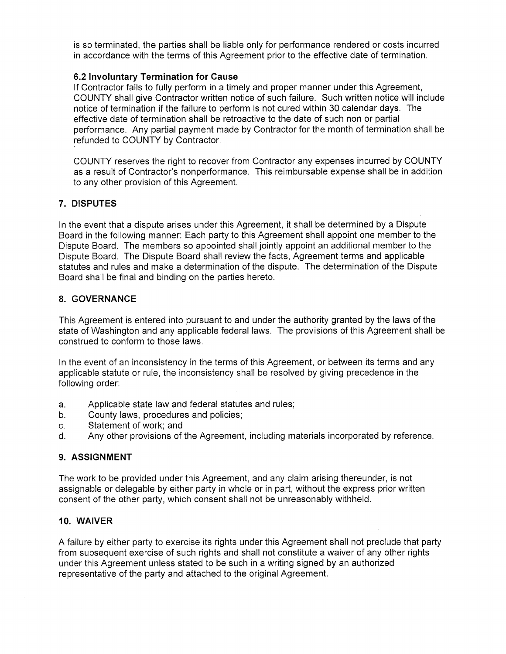is so terminated, the parties shall be liable only for performance rendered or costs incurred in accordance with the terms of this Agreement prior to the effective date of termination.

## 6.2 lnvoluntary Termination for Cause

lf Contractor fails to fully perform in a timely and proper manner under this Agreement, COUNTY shall give Contractor written notice of such failure. Such written notice will include notice of termination if the failure to perform is not cured within 30 calendar days. The effective date of termination shall be retroactive to the date of such non or partial performance. Any partial payment made by Contractor for the month of termination shall be refunded to COUNTY by Contractor.

COUNTY reserves the right to recover from Contractor any expenses incurred by COUNTY as a result of Contractor's nonperformance. This reimbursable expense shall be in addition to any other provision of this Agreement.

### 7. DISPUTES

In the event that a dispute arises under this Agreement, it shall be determined by a Dispute Board in the following manner: Each party to this Agreement shall appoint one member to the Dispute Board. The members so appointed shalljointly appoint an additional member to the Dispute Board. The Dispute Board shall review the facts, Agreement terms and applicable statutes and rules and make a determination of the dispute. The determination of the Dispute Board shall be final and binding on the parties hereto.

### 8. GOVERNANCE

This Agreement is entered into pursuant to and under the authority granted by the laws of the state of Washington and any applicable federal laws. The provisions of this Agreement shall be construed to conform to those laws.

ln the event of an inconsistency in the terms of this Agreement, or between its terms and any applicable statute or rule, the inconsistency shall be resolved by giving precedence in the following order:

- a. Applicable state law and federal statutes and rules;
- b. County laws, procedures and policies;
- c. Statement of work; and<br>d. Any other provisions of
- Any other provisions of the Agreement, including materials incorporated by reference.

## 9. ASSIGNMENT

The work to be provided under this Agreement, and any claim arising thereunder, is not assignable or delegable by either party in whole or in part, without the express prior written consent of the other party, which consent shall not be unreasonably withheld.

#### IO. WAIVER

A failure by either party to exercise its rights under this Agreement shall not preclude that party from subsequent exercise of such rights and shall not constitute a waiver of any other rights under this Agreement unless stated to be such in a writing signed by an authorized representative of the party and attached to the original Agreement.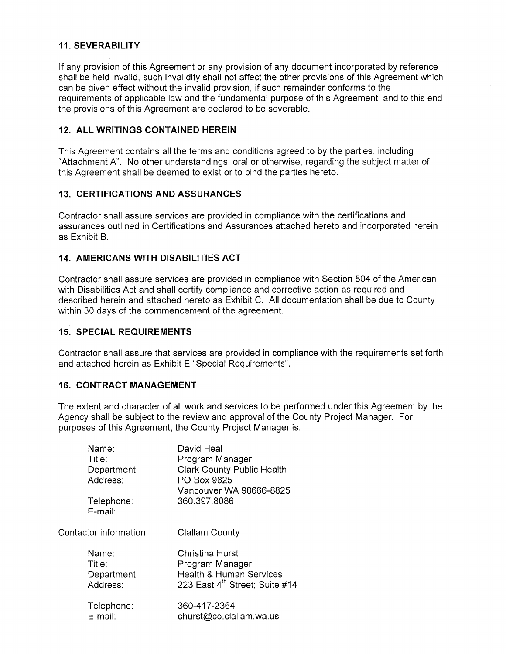# 11. SEVERABILITY

lf any provision of this Agreement or any provision of any document incorporated by reference shall be held invalid, such invalidity shall not affect the other provisions of this Agreement which can be given effect without the invalid provision, if such remainder conforms to the requirements of applicable law and the fundamental purpose of this Agreement, and to this end the provisions of this Agreement are declared to be severable.

# ,12. ALL WRITINGS CONTAINED HEREIN

This Agreement contains all the terms and conditions agreed to by the parties, including "Attachment 4". No other understandings, oral or othenruise, regarding the subject matter of this Agreement shall be deemed to exist or to bind the parties hereto.

## 13. CERTIFICATIONS AND ASSURANCES

Contractor shall assure services are provided in compliance with the certifications and assurances outlined in Certifications and Assurances attached hereto and incorporated herein as Exhibit B.

### I4. AMERICANS WITH DISABILITIES ACT

Contractor shall assure services are provided in compliance with Section 504 of the American with Disabilities Act and shall certify compliance and corrective action as required and described herein and attached hereto as Exhibit C. All documentation shall be due to County within 30 days of the commencement of the agreement.

## **15. SPECIAL REQUIREMENTS**

Contractor shall assure that services are provided in compliance with the requirements set forth and attached herein as Exhibit E "Special Requirements".

#### 16. CONTRACT MANAGEMENT

The extent and character of all work and services to be performed under this Agreement by the Agency shall be subject to the review and approval of the County Project Manager. For purposes of this Agreement, the County Project Manager is:

|                        | Name:<br>Title:<br>Department:<br>Address:<br>Telephone:<br>E-mail: | David Heal<br>Program Manager<br><b>Clark County Public Health</b><br>PO Box 9825<br>Vancouver WA 98666-8825<br>360.397.8086 |
|------------------------|---------------------------------------------------------------------|------------------------------------------------------------------------------------------------------------------------------|
| Contactor information: |                                                                     | Clallam County                                                                                                               |
|                        | Name:<br>Title:<br>Department:<br>Address:                          | Christina Hurst<br>Program Manager<br><b>Health &amp; Human Services</b><br>223 East 4 <sup>th</sup> Street; Suite #14       |
|                        | Telephone:<br>E-mail:                                               | 360-417-2364<br>churst@co.clallam.wa.us                                                                                      |
|                        |                                                                     |                                                                                                                              |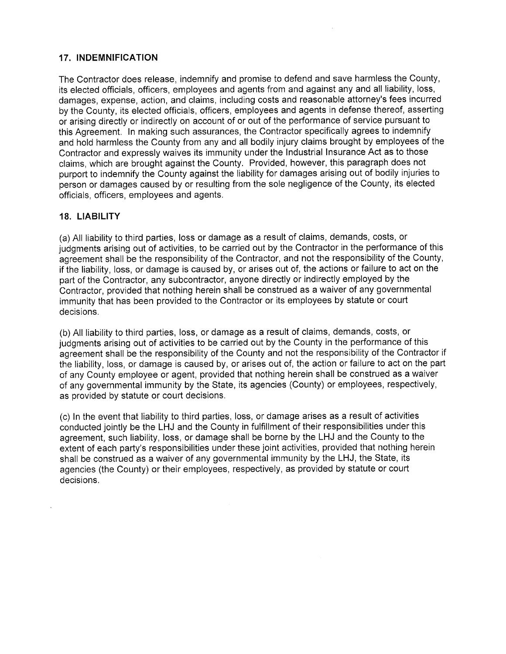## 17. INDEMNIFICATION

The Contractor does release, indemnify and promise to defend and save harmless the County, its elected officials, officers, employees and agents from and against any and all liability, loss, damages, expense, action, and claims, including costs and reasonable attorney's fees incurred by the County, its elected officials, officers, employees and agents in defense thereof, asserting or arising directly or indirectly on account of or out of the performance of service pursuant to this Agreement. ln making such assurances, the Contractor specifically agrees to indemnify and hold harmless the County from any and all bodily injury claims brought by employees of the Contractor and expressly waives its immunity under the lndustrial lnsurance Act as to those claims, which are brought against the County. Provided, however, this paragraph does not purport to indemnify the County against the liability for damages arising out of bodily injuries to person or damages caused by or resulting from the sole negligence of the County, its elected officials, officers, employees and agents.

### 18. LIABILITY

(a) All liability to third parties, loss or damage as a result of claims, demands, costs, or judgments arising out of activities, to be carried out by the Contractor in the performance of this agreement shall be the responsibility of the Contractor, and not the responsibility of the County, if the liability, loss, or damage is caused by, or arises out of, the actions or failure to act on the part of the Contractor, any subcontractor, anyone directly or indirectly employed by the Contractor, provided that nothing herein shall be construed as a waiver of any governmental immunity that has been provided to the Contractor or its employees by statute or court decisions.

(b) All liability to third parties, loss, or damage as a result of claims, demands, costs, or judgments arising out of activities to be carried out by the County in the performance of this agreement shall be the responsibility of the County and not the responsibility of the Contractor if the liability, loss, or damage is caused by, or arises out of, the action or failure to act on the part of any County employee or agent, provided that nothing herein shall be construed as a waiver of any governmental immunity by the State, its agencies (County) or employees, respectively, as provided by statute or court decisions.

(c) ln the event that liability to third parties, loss, or damage arises as a result of activities conducted jointly be the LHJ and the County in fulfillment of their responsibilities under this agreement, such liability, loss, or damage shall be borne by the LHJ and the County to the extent of each party's responsibilities under these joint activities, provided that nothing herein shall be construed as a waiver of any governmental immunity by the LHJ, the State, its agencies (the County) or their employees, respectively, as provided by statute or court decisions.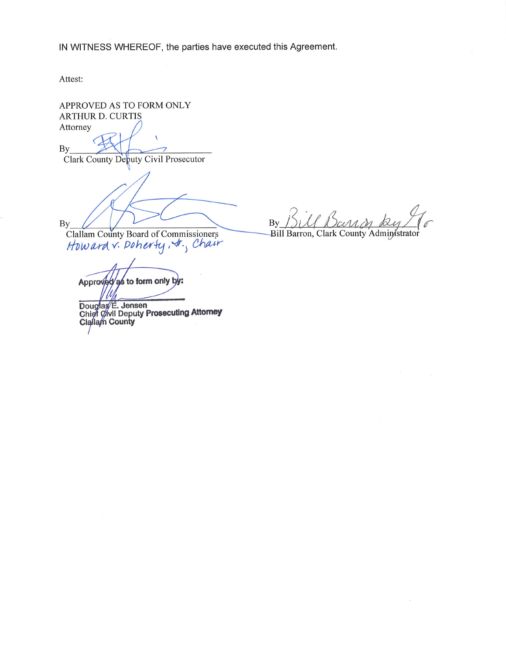lN WITNESS WHEREOF, the parties have executed this Agreement.

Attest:

APPROVED AS TO FORM ONLY ARTHUR D. CURTIS Attorney

By Clark County Deþuty Civil Prosecutor

By

Clallam County Board of Commissioners<br>*How ard v. Doher* ty , str.<sub>,</sub> *Chair* 

Approved as to form only b

Douglas E. Jensen<br>Chief Civil Deputy Prosecuting Attorney<br>Clallam County

By SUL Ban on by T  $By$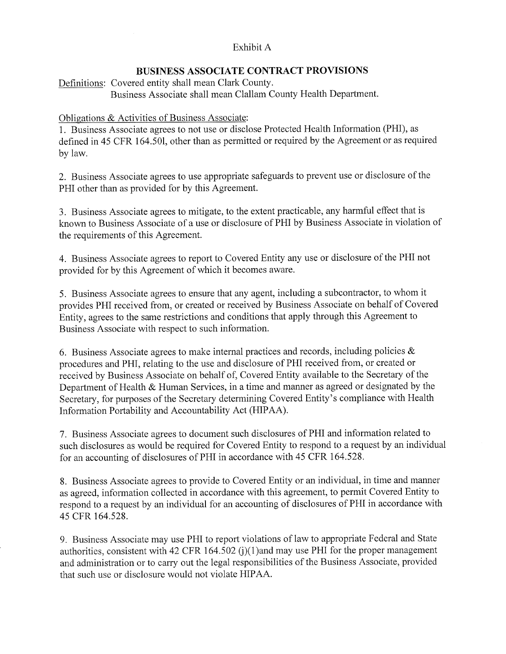# Exhibit A

# BUSINESS ASSOCIATE CONTRACT PROVISIONS

Definitions: Covered entity shall mean Clark County. Business Associate shall mean Clallam County Health Department.

# Obligations & Activities of Business Associate:

1. Business Associate agrees to not use or disclose Protected Health Information (PHI), as defined in 45 CFR 164.501, other than as permitted or required by the Agreement or as required by law.

2. Business Associate agrees to use appropriate safeguards to prevent use or disclosure of the PHI other than as provided for by this Agreement.

3. Business Associate agrees to mitigate, to the extent practicable, any harmful effect that is known to Business Associate of a use or disclosure of PHI by Business Associate in violation of the requirements of this Agreement.

4. Business Associate agrees to report to Covered Entity any use or disclosure of the PHI not provided for by this Agreement of which it becomes aware.

5. Business Associate agrees to ensure that any agent, including a subcontractor, to whom it provides PHI received from, or created or received by Business Associate on behalf of Covered Entity, agrees to the same restrictions and conditions that apply through this Agreement to Business Associate with respect to such information.

6. Business Associate agrees to make internal practices and records, including policies  $\&$ procedures and PHI, relating to the use and disclosure of PHI received from, or created or received by Business Associate on behalf of, Covered Entity available to the Secretary of the Department of Health & Human Services, in a time and manner as agreed or designated by the Secretary, for purposes of the Secretary determining Covered Entity's compliance with Health Information Portability and Accountability Act (HIPAA).

7. Business Associate agrees to document such disclosures of PHI and information related to such disclosures as would be required for Covered Entity to respond to a request by an individual for an accounting of disclosures of PHI in accordance with 45 CFR 164.528.

8. Business Associate agrees to provide to Covered Entity or an individual, in time and manner as agreed, information collected in accordance with this agreement, to permit Covered Entity to respond to a request by an individual for an accounting of disclosures of PHI in accordance with 45 CFR 164.528.

9. Business Associate may use PHI to report violations of law to appropriate Federal and State authorities, consistent with 42 CFR 164.502 (j)(1)and may use PHI for the proper management and administration or to carry out the legal responsibilities of the Business Associate, provided that such use or disclosure would not violate HIPAA.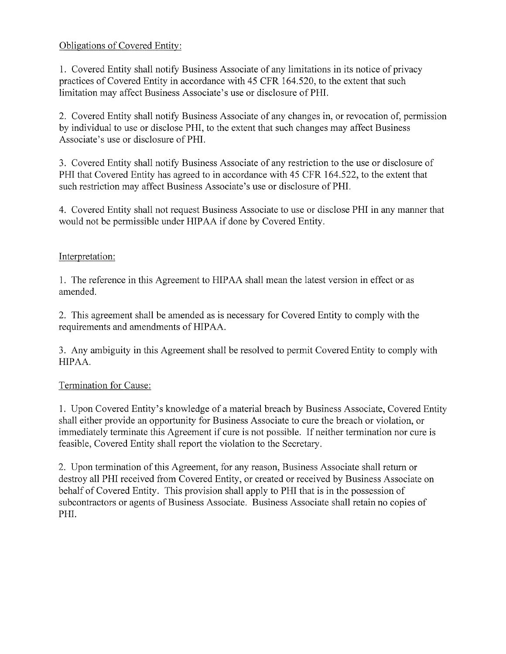# Obligations of Covered Entity:

1. Covered Entity shall notify Business Associate of any limitations in its notice of privacy practices of Covered Entity in accordance with 45 CFR 164.520, to the extent that such limitation may affect Business Associate's use or disclosure of PHI.

2. Covered Entity shall notify Business Associate of any changes in, or revocation of, permission by individual to use or disclose PHI, to the extent that such changes may affect Business Associate's use or disclosure of PHI.

3. Covered Entity shall notify Business Associate of any restriction to the use or disclosure of PHI that Covered Entity has agreed to in accordance with 45 CFR 164.522, to the extent that such restriction may affect Business Associate's use or disclosure of PHI.

4. Covered Entity shall not request Business Associate to use or disclose PHI in any manner that would not be permissible under HIPAA if done by Covered Entity.

# Interpretation:

1. The reference in this Agreement to HIPAA shall mean the latest version in effect or as amended.

2. This agreement shall be amended as is necessary for Covered Entity to comply with the requirements and amendments of HIPAA.

3. Any ambiguity in this Agreement shall be resolved to permit CoveredEntity to comply with HIPAA.

# Termination for Cause:

1. Upon Covered Entity's knowledge of a material breach by Business Associate, Covered Entity shall either provide an opportunity for Business Associate to cure the breach or violation, or immediately terminate this Agreement if cure is not possible. If neither termination nor cure is feasible, Covered Entity shall report the violation to the Secretary.

2. Upon termination of this Agreement, for any reason, Business Associate shall return or destroy all PHI received from Covered Entity, or created or received by Business Associate on behalf of Covered Entity. This provision shall apply to PHI that is in the possession of subcontractors or agents of Business Associate. Business Associate shall retain no copies of PHI.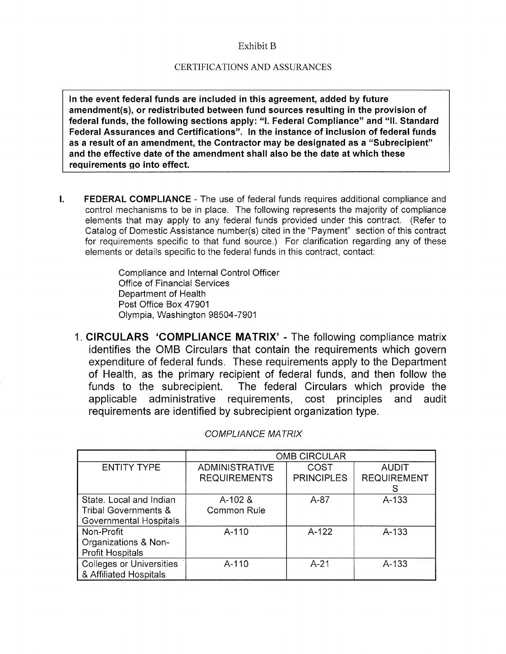#### Exhibit B

#### CERTIFICATIONS AND ASSURANCES

ln the event federal funds are included in this agreement, added by future amendment(s), or redistributed between fund sources resulting in the provision of federal funds, the following sections apply: "1. Federal Gompliance" and "ll. Standard Federal Assurances and Gertifications". ln the instance of inclusion of federal funds as a result of an amendment, the Gontractor may be designated as a "Subrecipient" and the effective date of the amendment shall also be the date at which these requirements go into effect.

 $\mathbf{L}$ FEDERAL COMPLIANCE - The use of federal funds requires additional compliance and control mechanisms to be in place. The following represents the majority of compliance elements that may apply to any federal funds provided under this contract. (Refer to Catalog of Domestic Assistance number(s) cited in the "Payment" section of this contract for requirements specific to that fund source.) For clarification regarding any of these elements or details specific to the federal funds in this contract, contact:

> Compliance and lnternal Control Officer Office of Financial Services Department of Health Post Office Box 47901 Olympia, Washington 98504-7901

1. CIRCULARS 'COMPLIANCE MATRIX' - The following compliance matrix identifies the OMB Circulars that contain the requirements which govern expenditure of federal funds. These requirements apply to the Department of Health, as the primary recipient of federal funds, and then follow the funds to the subrecipient. The federal Circulars which provide the applicable administrative requirements, cost principles and audit requirements are identified by subrecipient organization type.

|                                 | <b>OMB CIRCULAR</b>   |                   |                    |
|---------------------------------|-----------------------|-------------------|--------------------|
| <b>ENTITY TYPE</b>              | <b>ADMINISTRATIVE</b> | <b>COST</b>       | <b>AUDIT</b>       |
|                                 | <b>REQUIREMENTS</b>   | <b>PRINCIPLES</b> | <b>REQUIREMENT</b> |
|                                 |                       |                   | S                  |
| State. Local and Indian         | $A-102$ &             | $A-87$            | $A - 133$          |
| Tribal Governments &            | Common Rule           |                   |                    |
| Governmental Hospitals          |                       |                   |                    |
| Non-Profit                      | A-110                 | $A-122$           | $A - 133$          |
| Organizations & Non-            |                       |                   |                    |
| <b>Profit Hospitals</b>         |                       |                   |                    |
| <b>Colleges or Universities</b> | A-110                 | $A - 21$          | A-133              |
| & Affiliated Hospitals          |                       |                   |                    |

COMPLIANCE MATRIX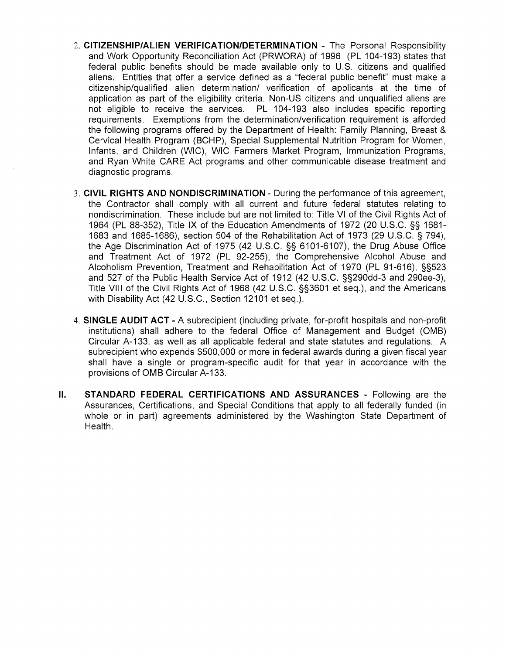- 2. CITIZENSHIP/ALIEN VERIFICATION/DETERMINATION The Personal Responsibility and Work Opportunity Reconciliation Act (PRWORA) of 1996 (PL 104-193) states that federal public benefits should be made available only to U,S. citizens and qualified aliens. Entities that offer a service defined as a "federal public benefit" must make a citizenship/qualified alien determination/ verification of applicants at the time of application as part of the eligibility criteria. Non-US citizens and unqualified aliens are not eligible to receive the services. PL 104-193 also includes specific reporting requirements. Exemptions from the determination/verification requirement is afforded the following programs offered by the Department of Health: Family Planning, Breast & Cervical Health Program (BCHP), Special Supplemental Nutrition Program for Women, lnfants, and Children (WlC), WIC Farmers Market Program, lmmunization Programs, and Ryan White CARE Act programs and other communicable disease treatment and diagnostic programs.
- 3. CIVIL RIGHTS AND NONDISCRIMINATION During the performance of this agreement, the Contractor shall comply with all current and future federal statutes relating to nondiscrimination. These include but are not limited to: Title Vl of the Civil Rights Act of 1964 (PL 88-352), Title lX of the EducationAmendments of 1972(20 U.S.C. SS 1681- 1683 and 1685-1686), section 504 of the Rehabilitation Act of 1973 (29 U.S.C. S 794), the Age Discrimínation Act of 1975 (42 U.S.C. SS 6101-6107), the Drug Abuse Office and Treatment Act of 1972 (PL 92-255), the Comprehensive Alcohol Abuse and Alcoholism Prevention, Treatment and Rehabilitation Act of 1970 (PL 91-616), SS523 and 527 of the Public Health Service Act of 1912 (42 U.S.C. SS290dd-3 and 290ee-3), Title Vlll of the Civil Rights Act of 1968 (42 U.S.C. 553601 et seq.), and the Americans with Disability Act (42 U.S.C., Section 12101 et seq.).
- 4. SINGLE AUDIT ACT A subrecipient (including private, for-profit hospitals and non-profit institutions) shall adhere to the federal Office of Management and Budget (OMB) Circular A-133, as well as all applicable federal and state statutes and regulations. A subrecipient who expends \$500,000 or more in federal awards during a given fiscal year shall have a single or program-specific audit for that year in accordance with the provisions of OMB Circular A-133.
- il. STANDARD FEDERAL CERTIFICATIONS AND ASSURANCES - Following are the Assurances, Certifications, and Special Conditions that apply to all federally funded (in whole or in part) agreements administered by the Washington State Department of Health.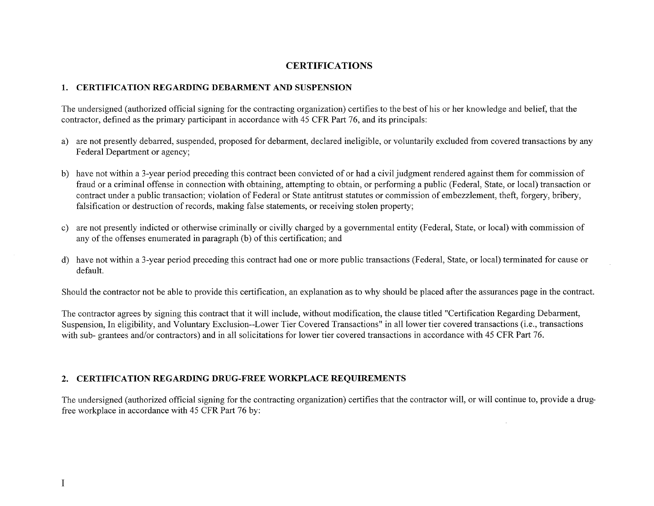## CERTIFICATIONS

#### 1. CERTIFICATION REGARDING DEBARMENT AND SUSPENSION

The undersigned (authorized official signing for the contracting organization) certifies to the best of his or her knowledge and belief, that the contractor, defined as the primary participant in accordance with 45 CFR Part 76, and its principals:

- a) are not presently debarred, suspended, proposed for debarment, declared ineligible, or voluntarily excluded from covered transactions by any Federal Department or agency;
- b) have not within a 3-year period preceding this contract been convicted of or had a civil judgment rendered against them for commission of fraud or a criminal offense in connection with obtaining, attempting to obtain, or performing a public (Federal, State, or local) transaction or contract under a public transaction; violation of Federal or State antitrust statutes or commission of embezzlement, theft, forgery, bribery, falsification or destruction of records, making false statements, or receiving stolen property;
- c) are not presently indicted or otherwise criminally or civilly charged by a governmental entity (Federal, State, or local) with commission of any of the offenses enumerated in paragraph (b) of this certification; and
- d) have not within a3-year period preceding this contract had one or more public transactions (Federal, State, or local) terminated for cause or default.

Should the contractor not be able to provide this certification, an explanation as to why should be placed after the assurances page in the contract.

The contractor agrees by signing this contract that it will include, without modification, the clause titled "Certification Regarding Debarment, Suspension, In eligibility, and Voluntary Exclusion--Lower Tier Covered Transactions" in all lower tier covered transactions (i.e., transactions with sub- grantees and/or contractors) and in all solicitations for lower tier covered transactions in accordance with 45 CFR Part 76.

#### 2. CERTIFICATION REGARDING DRUG-FREE WORKPLACE REQUIREMENTS

The undersigned (authorized official signing for the contracting organization) certifies that the contractor will, or will continue to, provide a drugfree workplace in accordance with 45 CFR Part 76 by: